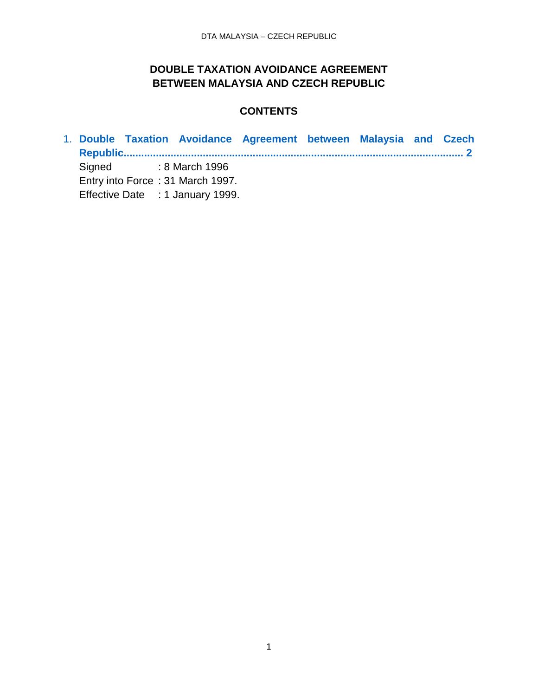### **DOUBLE TAXATION AVOIDANCE AGREEMENT BETWEEN MALAYSIA AND CZECH REPUBLIC**

### **CONTENTS**

1. **[Double Taxation Avoidance Agreement between Malaysia and Czech](#page-1-0) [Republic....................................................................................................................](#page-1-0) 2** Signed : 8 March 1996 Entry into Force : 31 March 1997. Effective Date : 1 January 1999.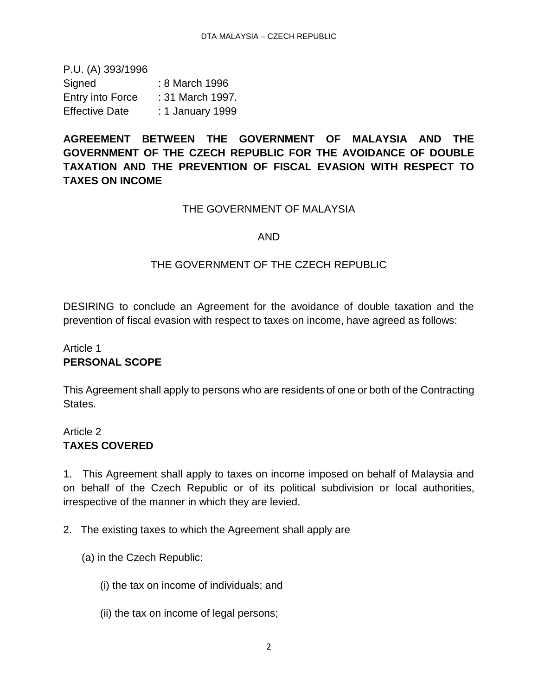<span id="page-1-0"></span>P.U. (A) 393/1996 Signed : 8 March 1996 Entry into Force : 31 March 1997. Effective Date : 1 January 1999

# **AGREEMENT BETWEEN THE GOVERNMENT OF MALAYSIA AND THE GOVERNMENT OF THE CZECH REPUBLIC FOR THE AVOIDANCE OF DOUBLE TAXATION AND THE PREVENTION OF FISCAL EVASION WITH RESPECT TO TAXES ON INCOME**

#### THE GOVERNMENT OF MALAYSIA

#### AND

#### THE GOVERNMENT OF THE CZECH REPUBLIC

DESIRING to conclude an Agreement for the avoidance of double taxation and the prevention of fiscal evasion with respect to taxes on income, have agreed as follows:

### Article 1 **PERSONAL SCOPE**

This Agreement shall apply to persons who are residents of one or both of the Contracting **States** 

### Article 2 **TAXES COVERED**

1. This Agreement shall apply to taxes on income imposed on behalf of Malaysia and on behalf of the Czech Republic or of its political subdivision or local authorities, irrespective of the manner in which they are levied.

2. The existing taxes to which the Agreement shall apply are

- (a) in the Czech Republic:
	- (i) the tax on income of individuals; and
	- (ii) the tax on income of legal persons;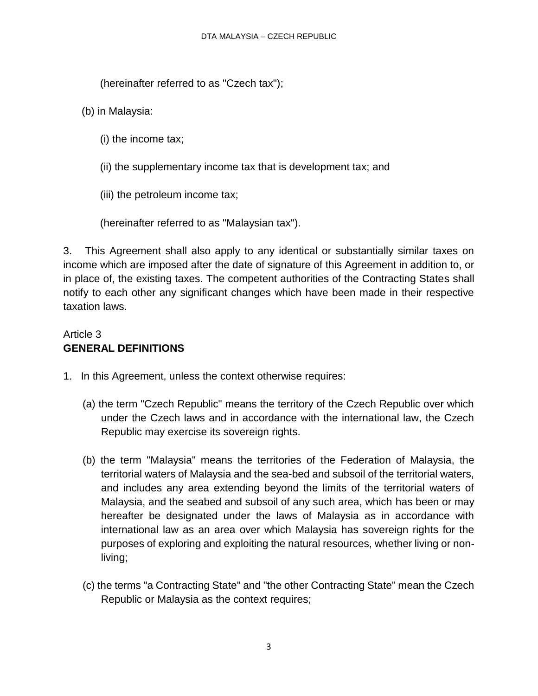(hereinafter referred to as "Czech tax");

- (b) in Malaysia:
	- (i) the income tax;
	- (ii) the supplementary income tax that is development tax; and
	- (iii) the petroleum income tax;
	- (hereinafter referred to as "Malaysian tax").

3. This Agreement shall also apply to any identical or substantially similar taxes on income which are imposed after the date of signature of this Agreement in addition to, or in place of, the existing taxes. The competent authorities of the Contracting States shall notify to each other any significant changes which have been made in their respective taxation laws.

# Article 3 **GENERAL DEFINITIONS**

- 1. In this Agreement, unless the context otherwise requires:
	- (a) the term "Czech Republic" means the territory of the Czech Republic over which under the Czech laws and in accordance with the international law, the Czech Republic may exercise its sovereign rights.
	- (b) the term "Malaysia" means the territories of the Federation of Malaysia, the territorial waters of Malaysia and the sea-bed and subsoil of the territorial waters, and includes any area extending beyond the limits of the territorial waters of Malaysia, and the seabed and subsoil of any such area, which has been or may hereafter be designated under the laws of Malaysia as in accordance with international law as an area over which Malaysia has sovereign rights for the purposes of exploring and exploiting the natural resources, whether living or nonliving;
	- (c) the terms "a Contracting State" and "the other Contracting State" mean the Czech Republic or Malaysia as the context requires;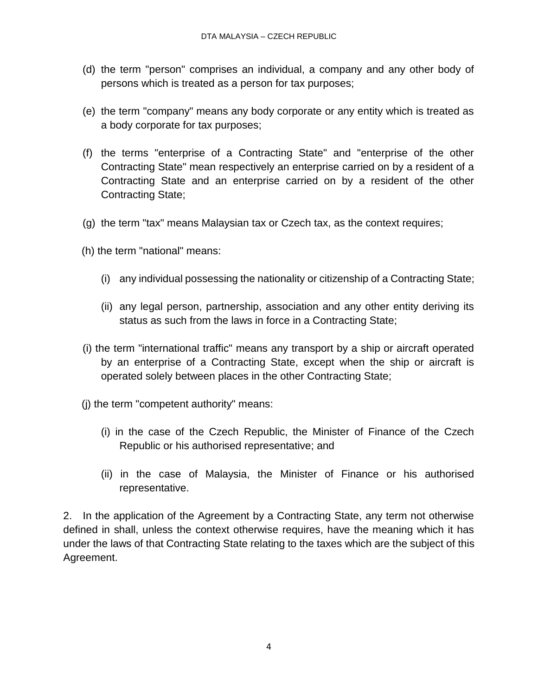- (d) the term "person" comprises an individual, a company and any other body of persons which is treated as a person for tax purposes;
- (e) the term "company" means any body corporate or any entity which is treated as a body corporate for tax purposes;
- (f) the terms "enterprise of a Contracting State" and "enterprise of the other Contracting State" mean respectively an enterprise carried on by a resident of a Contracting State and an enterprise carried on by a resident of the other Contracting State;
- (g) the term "tax" means Malaysian tax or Czech tax, as the context requires;
- (h) the term "national" means:
	- (i) any individual possessing the nationality or citizenship of a Contracting State;
	- (ii) any legal person, partnership, association and any other entity deriving its status as such from the laws in force in a Contracting State;
- (i) the term "international traffic" means any transport by a ship or aircraft operated by an enterprise of a Contracting State, except when the ship or aircraft is operated solely between places in the other Contracting State;
- (j) the term "competent authority" means:
	- (i) in the case of the Czech Republic, the Minister of Finance of the Czech Republic or his authorised representative; and
	- (ii) in the case of Malaysia, the Minister of Finance or his authorised representative.

2. In the application of the Agreement by a Contracting State, any term not otherwise defined in shall, unless the context otherwise requires, have the meaning which it has under the laws of that Contracting State relating to the taxes which are the subject of this Agreement.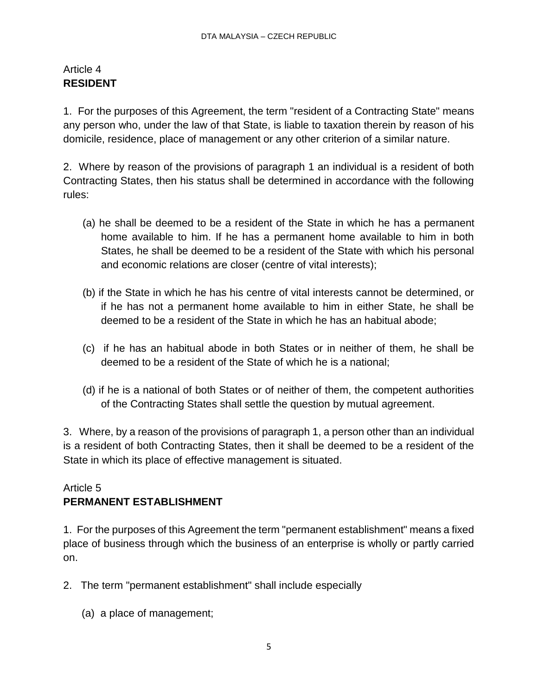### Article 4 **RESIDENT**

1. For the purposes of this Agreement, the term "resident of a Contracting State" means any person who, under the law of that State, is liable to taxation therein by reason of his domicile, residence, place of management or any other criterion of a similar nature.

2. Where by reason of the provisions of paragraph 1 an individual is a resident of both Contracting States, then his status shall be determined in accordance with the following rules:

- (a) he shall be deemed to be a resident of the State in which he has a permanent home available to him. If he has a permanent home available to him in both States, he shall be deemed to be a resident of the State with which his personal and economic relations are closer (centre of vital interests);
- (b) if the State in which he has his centre of vital interests cannot be determined, or if he has not a permanent home available to him in either State, he shall be deemed to be a resident of the State in which he has an habitual abode;
- (c) if he has an habitual abode in both States or in neither of them, he shall be deemed to be a resident of the State of which he is a national;
- (d) if he is a national of both States or of neither of them, the competent authorities of the Contracting States shall settle the question by mutual agreement.

3. Where, by a reason of the provisions of paragraph 1, a person other than an individual is a resident of both Contracting States, then it shall be deemed to be a resident of the State in which its place of effective management is situated.

# Article 5 **PERMANENT ESTABLISHMENT**

1. For the purposes of this Agreement the term "permanent establishment" means a fixed place of business through which the business of an enterprise is wholly or partly carried on.

- 2. The term "permanent establishment" shall include especially
	- (a) a place of management;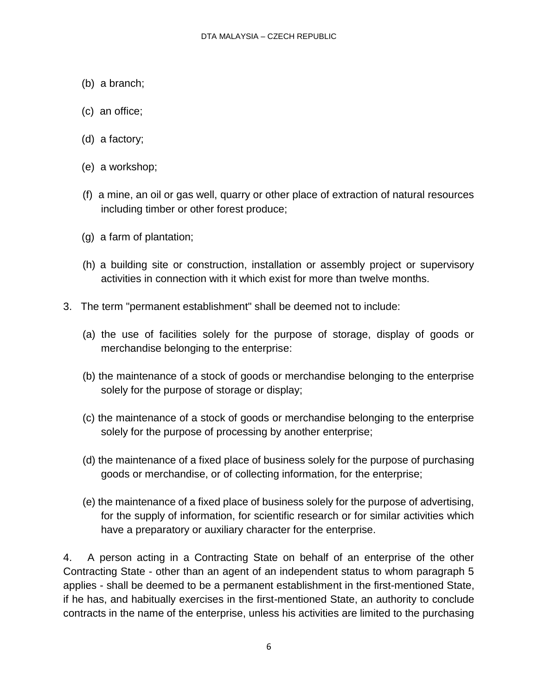- (b) a branch;
- (c) an office;
- (d) a factory;
- (e) a workshop;
- (f) a mine, an oil or gas well, quarry or other place of extraction of natural resources including timber or other forest produce;
- (g) a farm of plantation;
- (h) a building site or construction, installation or assembly project or supervisory activities in connection with it which exist for more than twelve months.
- 3. The term "permanent establishment" shall be deemed not to include:
	- (a) the use of facilities solely for the purpose of storage, display of goods or merchandise belonging to the enterprise:
	- (b) the maintenance of a stock of goods or merchandise belonging to the enterprise solely for the purpose of storage or display;
	- (c) the maintenance of a stock of goods or merchandise belonging to the enterprise solely for the purpose of processing by another enterprise;
	- (d) the maintenance of a fixed place of business solely for the purpose of purchasing goods or merchandise, or of collecting information, for the enterprise;
	- (e) the maintenance of a fixed place of business solely for the purpose of advertising, for the supply of information, for scientific research or for similar activities which have a preparatory or auxiliary character for the enterprise.

4. A person acting in a Contracting State on behalf of an enterprise of the other Contracting State - other than an agent of an independent status to whom paragraph 5 applies - shall be deemed to be a permanent establishment in the first-mentioned State, if he has, and habitually exercises in the first-mentioned State, an authority to conclude contracts in the name of the enterprise, unless his activities are limited to the purchasing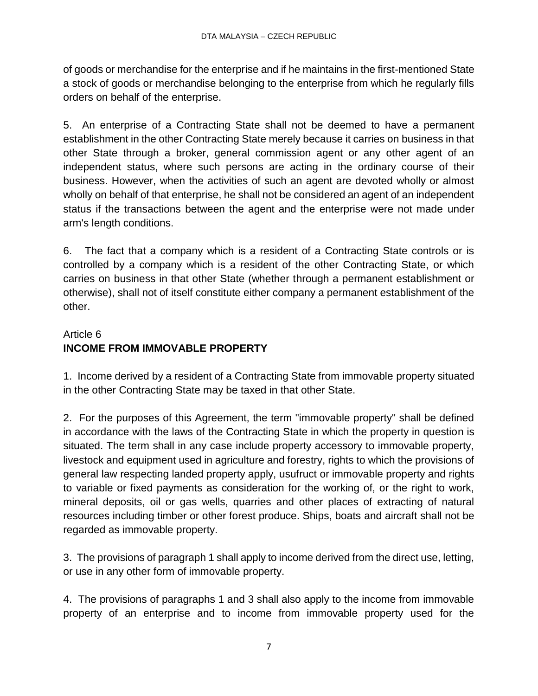of goods or merchandise for the enterprise and if he maintains in the first-mentioned State a stock of goods or merchandise belonging to the enterprise from which he regularly fills orders on behalf of the enterprise.

5. An enterprise of a Contracting State shall not be deemed to have a permanent establishment in the other Contracting State merely because it carries on business in that other State through a broker, general commission agent or any other agent of an independent status, where such persons are acting in the ordinary course of their business. However, when the activities of such an agent are devoted wholly or almost wholly on behalf of that enterprise, he shall not be considered an agent of an independent status if the transactions between the agent and the enterprise were not made under arm's length conditions.

6. The fact that a company which is a resident of a Contracting State controls or is controlled by a company which is a resident of the other Contracting State, or which carries on business in that other State (whether through a permanent establishment or otherwise), shall not of itself constitute either company a permanent establishment of the other.

# Article 6 **INCOME FROM IMMOVABLE PROPERTY**

1. Income derived by a resident of a Contracting State from immovable property situated in the other Contracting State may be taxed in that other State.

2. For the purposes of this Agreement, the term "immovable property" shall be defined in accordance with the laws of the Contracting State in which the property in question is situated. The term shall in any case include property accessory to immovable property, livestock and equipment used in agriculture and forestry, rights to which the provisions of general law respecting landed property apply, usufruct or immovable property and rights to variable or fixed payments as consideration for the working of, or the right to work, mineral deposits, oil or gas wells, quarries and other places of extracting of natural resources including timber or other forest produce. Ships, boats and aircraft shall not be regarded as immovable property.

3. The provisions of paragraph 1 shall apply to income derived from the direct use, letting, or use in any other form of immovable property.

4. The provisions of paragraphs 1 and 3 shall also apply to the income from immovable property of an enterprise and to income from immovable property used for the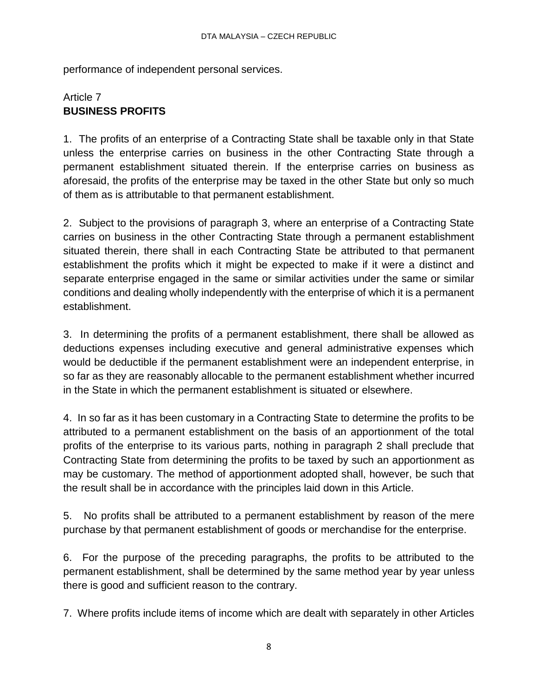performance of independent personal services.

# Article 7 **BUSINESS PROFITS**

1. The profits of an enterprise of a Contracting State shall be taxable only in that State unless the enterprise carries on business in the other Contracting State through a permanent establishment situated therein. If the enterprise carries on business as aforesaid, the profits of the enterprise may be taxed in the other State but only so much of them as is attributable to that permanent establishment.

2. Subject to the provisions of paragraph 3, where an enterprise of a Contracting State carries on business in the other Contracting State through a permanent establishment situated therein, there shall in each Contracting State be attributed to that permanent establishment the profits which it might be expected to make if it were a distinct and separate enterprise engaged in the same or similar activities under the same or similar conditions and dealing wholly independently with the enterprise of which it is a permanent establishment.

3. In determining the profits of a permanent establishment, there shall be allowed as deductions expenses including executive and general administrative expenses which would be deductible if the permanent establishment were an independent enterprise, in so far as they are reasonably allocable to the permanent establishment whether incurred in the State in which the permanent establishment is situated or elsewhere.

4. In so far as it has been customary in a Contracting State to determine the profits to be attributed to a permanent establishment on the basis of an apportionment of the total profits of the enterprise to its various parts, nothing in paragraph 2 shall preclude that Contracting State from determining the profits to be taxed by such an apportionment as may be customary. The method of apportionment adopted shall, however, be such that the result shall be in accordance with the principles laid down in this Article.

5. No profits shall be attributed to a permanent establishment by reason of the mere purchase by that permanent establishment of goods or merchandise for the enterprise.

6. For the purpose of the preceding paragraphs, the profits to be attributed to the permanent establishment, shall be determined by the same method year by year unless there is good and sufficient reason to the contrary.

7. Where profits include items of income which are dealt with separately in other Articles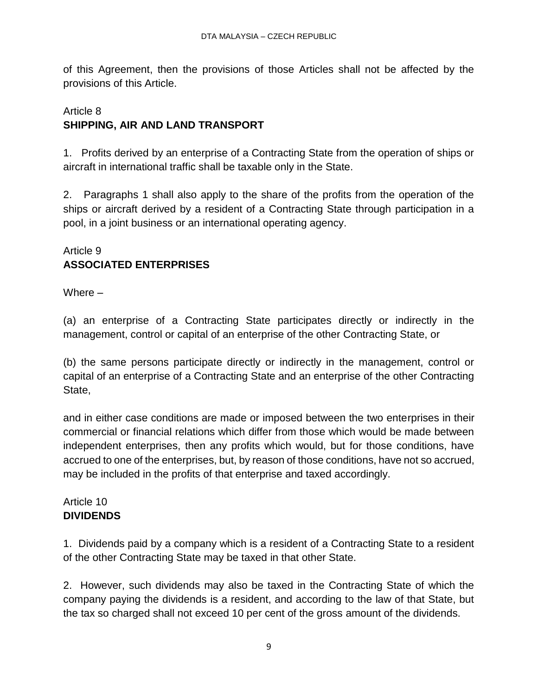of this Agreement, then the provisions of those Articles shall not be affected by the provisions of this Article.

# Article 8 **SHIPPING, AIR AND LAND TRANSPORT**

1. Profits derived by an enterprise of a Contracting State from the operation of ships or aircraft in international traffic shall be taxable only in the State.

2. Paragraphs 1 shall also apply to the share of the profits from the operation of the ships or aircraft derived by a resident of a Contracting State through participation in a pool, in a joint business or an international operating agency.

### Article 9 **ASSOCIATED ENTERPRISES**

Where –

(a) an enterprise of a Contracting State participates directly or indirectly in the management, control or capital of an enterprise of the other Contracting State, or

(b) the same persons participate directly or indirectly in the management, control or capital of an enterprise of a Contracting State and an enterprise of the other Contracting State,

and in either case conditions are made or imposed between the two enterprises in their commercial or financial relations which differ from those which would be made between independent enterprises, then any profits which would, but for those conditions, have accrued to one of the enterprises, but, by reason of those conditions, have not so accrued, may be included in the profits of that enterprise and taxed accordingly.

# Article 10 **DIVIDENDS**

1. Dividends paid by a company which is a resident of a Contracting State to a resident of the other Contracting State may be taxed in that other State.

2. However, such dividends may also be taxed in the Contracting State of which the company paying the dividends is a resident, and according to the law of that State, but the tax so charged shall not exceed 10 per cent of the gross amount of the dividends.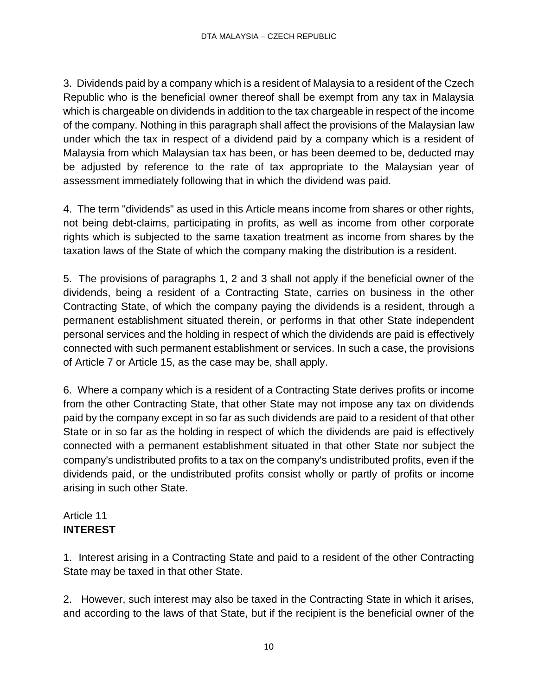3. Dividends paid by a company which is a resident of Malaysia to a resident of the Czech Republic who is the beneficial owner thereof shall be exempt from any tax in Malaysia which is chargeable on dividends in addition to the tax chargeable in respect of the income of the company. Nothing in this paragraph shall affect the provisions of the Malaysian law under which the tax in respect of a dividend paid by a company which is a resident of Malaysia from which Malaysian tax has been, or has been deemed to be, deducted may be adjusted by reference to the rate of tax appropriate to the Malaysian year of assessment immediately following that in which the dividend was paid.

4. The term "dividends" as used in this Article means income from shares or other rights, not being debt-claims, participating in profits, as well as income from other corporate rights which is subjected to the same taxation treatment as income from shares by the taxation laws of the State of which the company making the distribution is a resident.

5. The provisions of paragraphs 1, 2 and 3 shall not apply if the beneficial owner of the dividends, being a resident of a Contracting State, carries on business in the other Contracting State, of which the company paying the dividends is a resident, through a permanent establishment situated therein, or performs in that other State independent personal services and the holding in respect of which the dividends are paid is effectively connected with such permanent establishment or services. In such a case, the provisions of Article 7 or Article 15, as the case may be, shall apply.

6. Where a company which is a resident of a Contracting State derives profits or income from the other Contracting State, that other State may not impose any tax on dividends paid by the company except in so far as such dividends are paid to a resident of that other State or in so far as the holding in respect of which the dividends are paid is effectively connected with a permanent establishment situated in that other State nor subject the company's undistributed profits to a tax on the company's undistributed profits, even if the dividends paid, or the undistributed profits consist wholly or partly of profits or income arising in such other State.

### Article 11 **INTEREST**

1. Interest arising in a Contracting State and paid to a resident of the other Contracting State may be taxed in that other State.

2. However, such interest may also be taxed in the Contracting State in which it arises, and according to the laws of that State, but if the recipient is the beneficial owner of the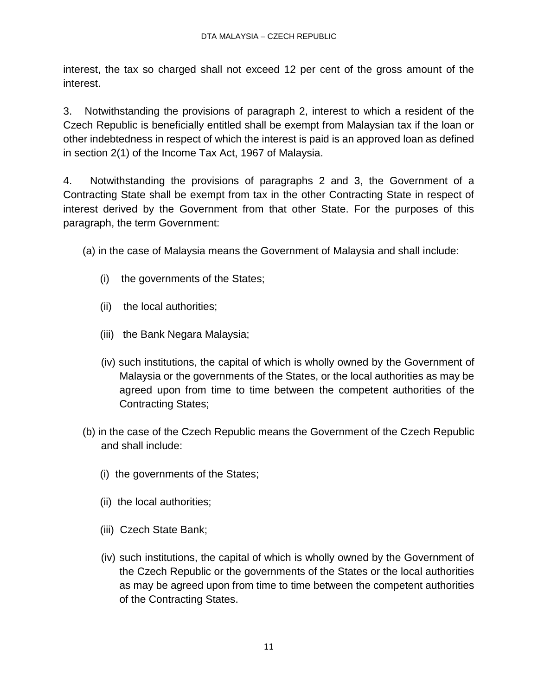interest, the tax so charged shall not exceed 12 per cent of the gross amount of the interest.

3. Notwithstanding the provisions of paragraph 2, interest to which a resident of the Czech Republic is beneficially entitled shall be exempt from Malaysian tax if the loan or other indebtedness in respect of which the interest is paid is an approved loan as defined in section 2(1) of the Income Tax Act, 1967 of Malaysia.

4. Notwithstanding the provisions of paragraphs 2 and 3, the Government of a Contracting State shall be exempt from tax in the other Contracting State in respect of interest derived by the Government from that other State. For the purposes of this paragraph, the term Government:

(a) in the case of Malaysia means the Government of Malaysia and shall include:

- (i) the governments of the States;
- (ii) the local authorities;
- (iii) the Bank Negara Malaysia;
- (iv) such institutions, the capital of which is wholly owned by the Government of Malaysia or the governments of the States, or the local authorities as may be agreed upon from time to time between the competent authorities of the Contracting States;
- (b) in the case of the Czech Republic means the Government of the Czech Republic and shall include:
	- (i) the governments of the States;
	- (ii) the local authorities;
	- (iii) Czech State Bank;
	- (iv) such institutions, the capital of which is wholly owned by the Government of the Czech Republic or the governments of the States or the local authorities as may be agreed upon from time to time between the competent authorities of the Contracting States.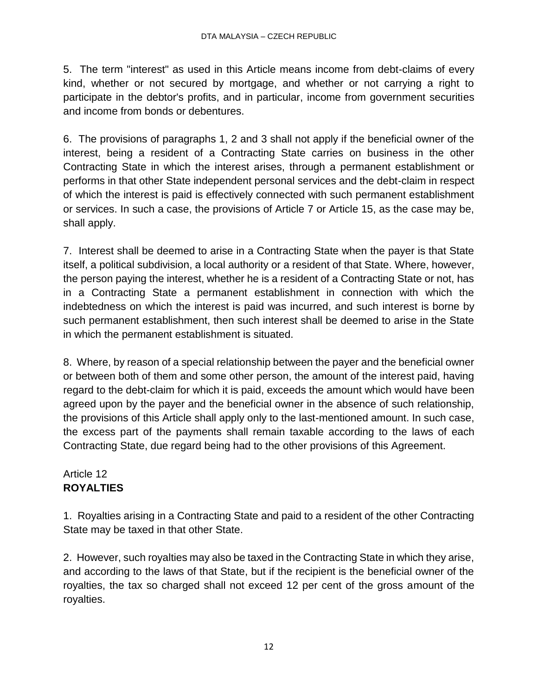5. The term "interest" as used in this Article means income from debt-claims of every kind, whether or not secured by mortgage, and whether or not carrying a right to participate in the debtor's profits, and in particular, income from government securities and income from bonds or debentures.

6. The provisions of paragraphs 1, 2 and 3 shall not apply if the beneficial owner of the interest, being a resident of a Contracting State carries on business in the other Contracting State in which the interest arises, through a permanent establishment or performs in that other State independent personal services and the debt-claim in respect of which the interest is paid is effectively connected with such permanent establishment or services. In such a case, the provisions of Article 7 or Article 15, as the case may be, shall apply.

7. Interest shall be deemed to arise in a Contracting State when the payer is that State itself, a political subdivision, a local authority or a resident of that State. Where, however, the person paying the interest, whether he is a resident of a Contracting State or not, has in a Contracting State a permanent establishment in connection with which the indebtedness on which the interest is paid was incurred, and such interest is borne by such permanent establishment, then such interest shall be deemed to arise in the State in which the permanent establishment is situated.

8. Where, by reason of a special relationship between the payer and the beneficial owner or between both of them and some other person, the amount of the interest paid, having regard to the debt-claim for which it is paid, exceeds the amount which would have been agreed upon by the payer and the beneficial owner in the absence of such relationship, the provisions of this Article shall apply only to the last-mentioned amount. In such case, the excess part of the payments shall remain taxable according to the laws of each Contracting State, due regard being had to the other provisions of this Agreement.

# Article 12 **ROYALTIES**

1. Royalties arising in a Contracting State and paid to a resident of the other Contracting State may be taxed in that other State.

2. However, such royalties may also be taxed in the Contracting State in which they arise, and according to the laws of that State, but if the recipient is the beneficial owner of the royalties, the tax so charged shall not exceed 12 per cent of the gross amount of the royalties.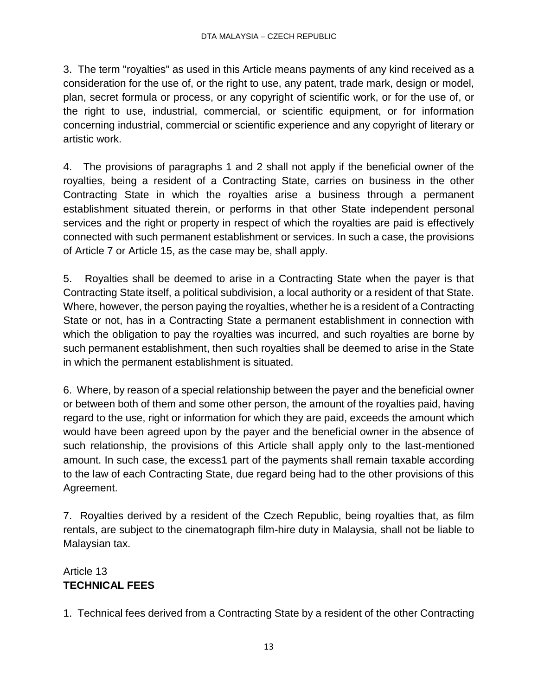3. The term "royalties" as used in this Article means payments of any kind received as a consideration for the use of, or the right to use, any patent, trade mark, design or model, plan, secret formula or process, or any copyright of scientific work, or for the use of, or the right to use, industrial, commercial, or scientific equipment, or for information concerning industrial, commercial or scientific experience and any copyright of literary or artistic work.

4. The provisions of paragraphs 1 and 2 shall not apply if the beneficial owner of the royalties, being a resident of a Contracting State, carries on business in the other Contracting State in which the royalties arise a business through a permanent establishment situated therein, or performs in that other State independent personal services and the right or property in respect of which the royalties are paid is effectively connected with such permanent establishment or services. In such a case, the provisions of Article 7 or Article 15, as the case may be, shall apply.

5. Royalties shall be deemed to arise in a Contracting State when the payer is that Contracting State itself, a political subdivision, a local authority or a resident of that State. Where, however, the person paying the royalties, whether he is a resident of a Contracting State or not, has in a Contracting State a permanent establishment in connection with which the obligation to pay the royalties was incurred, and such royalties are borne by such permanent establishment, then such royalties shall be deemed to arise in the State in which the permanent establishment is situated.

6. Where, by reason of a special relationship between the payer and the beneficial owner or between both of them and some other person, the amount of the royalties paid, having regard to the use, right or information for which they are paid, exceeds the amount which would have been agreed upon by the payer and the beneficial owner in the absence of such relationship, the provisions of this Article shall apply only to the last-mentioned amount. In such case, the excess1 part of the payments shall remain taxable according to the law of each Contracting State, due regard being had to the other provisions of this Agreement.

7. Royalties derived by a resident of the Czech Republic, being royalties that, as film rentals, are subject to the cinematograph film-hire duty in Malaysia, shall not be liable to Malaysian tax.

# Article 13 **TECHNICAL FEES**

1. Technical fees derived from a Contracting State by a resident of the other Contracting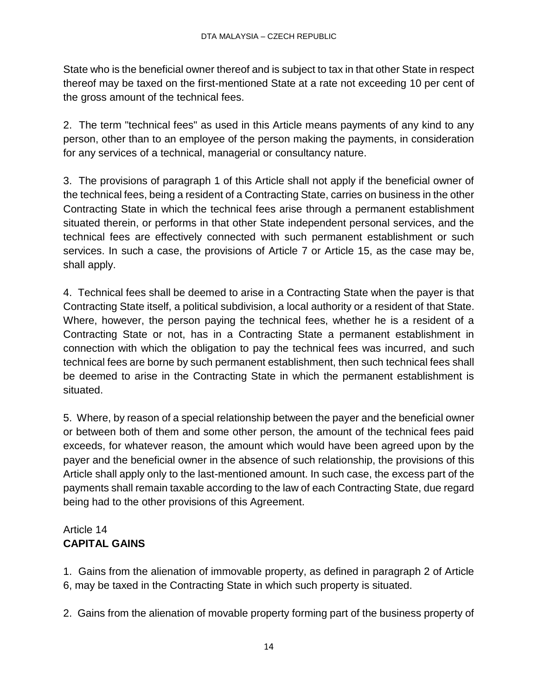State who is the beneficial owner thereof and is subject to tax in that other State in respect thereof may be taxed on the first-mentioned State at a rate not exceeding 10 per cent of the gross amount of the technical fees.

2. The term "technical fees" as used in this Article means payments of any kind to any person, other than to an employee of the person making the payments, in consideration for any services of a technical, managerial or consultancy nature.

3. The provisions of paragraph 1 of this Article shall not apply if the beneficial owner of the technical fees, being a resident of a Contracting State, carries on business in the other Contracting State in which the technical fees arise through a permanent establishment situated therein, or performs in that other State independent personal services, and the technical fees are effectively connected with such permanent establishment or such services. In such a case, the provisions of Article 7 or Article 15, as the case may be, shall apply.

4. Technical fees shall be deemed to arise in a Contracting State when the payer is that Contracting State itself, a political subdivision, a local authority or a resident of that State. Where, however, the person paying the technical fees, whether he is a resident of a Contracting State or not, has in a Contracting State a permanent establishment in connection with which the obligation to pay the technical fees was incurred, and such technical fees are borne by such permanent establishment, then such technical fees shall be deemed to arise in the Contracting State in which the permanent establishment is situated.

5. Where, by reason of a special relationship between the payer and the beneficial owner or between both of them and some other person, the amount of the technical fees paid exceeds, for whatever reason, the amount which would have been agreed upon by the payer and the beneficial owner in the absence of such relationship, the provisions of this Article shall apply only to the last-mentioned amount. In such case, the excess part of the payments shall remain taxable according to the law of each Contracting State, due regard being had to the other provisions of this Agreement.

# Article 14 **CAPITAL GAINS**

1. Gains from the alienation of immovable property, as defined in paragraph 2 of Article 6, may be taxed in the Contracting State in which such property is situated.

2. Gains from the alienation of movable property forming part of the business property of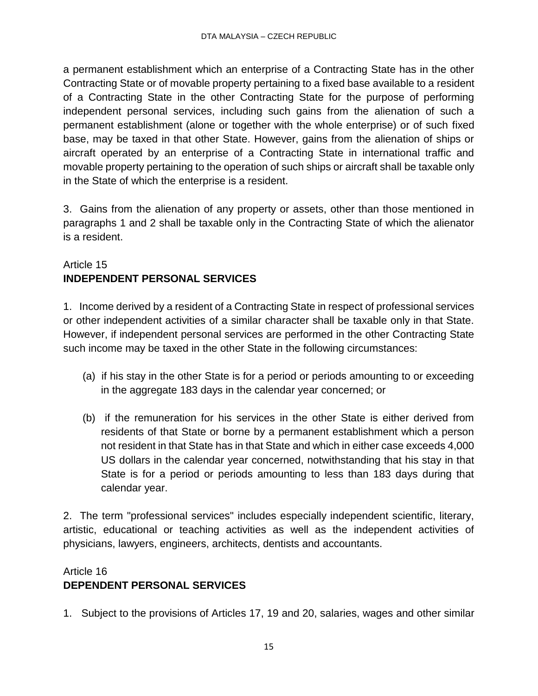a permanent establishment which an enterprise of a Contracting State has in the other Contracting State or of movable property pertaining to a fixed base available to a resident of a Contracting State in the other Contracting State for the purpose of performing independent personal services, including such gains from the alienation of such a permanent establishment (alone or together with the whole enterprise) or of such fixed base, may be taxed in that other State. However, gains from the alienation of ships or aircraft operated by an enterprise of a Contracting State in international traffic and movable property pertaining to the operation of such ships or aircraft shall be taxable only in the State of which the enterprise is a resident.

3. Gains from the alienation of any property or assets, other than those mentioned in paragraphs 1 and 2 shall be taxable only in the Contracting State of which the alienator is a resident.

# Article 15 **INDEPENDENT PERSONAL SERVICES**

1. Income derived by a resident of a Contracting State in respect of professional services or other independent activities of a similar character shall be taxable only in that State. However, if independent personal services are performed in the other Contracting State such income may be taxed in the other State in the following circumstances:

- (a) if his stay in the other State is for a period or periods amounting to or exceeding in the aggregate 183 days in the calendar year concerned; or
- (b) if the remuneration for his services in the other State is either derived from residents of that State or borne by a permanent establishment which a person not resident in that State has in that State and which in either case exceeds 4,000 US dollars in the calendar year concerned, notwithstanding that his stay in that State is for a period or periods amounting to less than 183 days during that calendar year.

2. The term "professional services" includes especially independent scientific, literary, artistic, educational or teaching activities as well as the independent activities of physicians, lawyers, engineers, architects, dentists and accountants.

# Article 16 **DEPENDENT PERSONAL SERVICES**

1. Subject to the provisions of Articles 17, 19 and 20, salaries, wages and other similar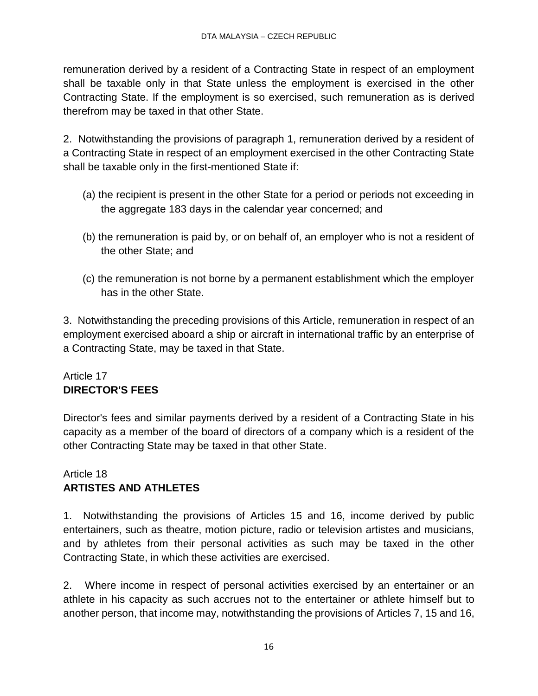remuneration derived by a resident of a Contracting State in respect of an employment shall be taxable only in that State unless the employment is exercised in the other Contracting State. If the employment is so exercised, such remuneration as is derived therefrom may be taxed in that other State.

2. Notwithstanding the provisions of paragraph 1, remuneration derived by a resident of a Contracting State in respect of an employment exercised in the other Contracting State shall be taxable only in the first-mentioned State if:

- (a) the recipient is present in the other State for a period or periods not exceeding in the aggregate 183 days in the calendar year concerned; and
- (b) the remuneration is paid by, or on behalf of, an employer who is not a resident of the other State; and
- (c) the remuneration is not borne by a permanent establishment which the employer has in the other State.

3. Notwithstanding the preceding provisions of this Article, remuneration in respect of an employment exercised aboard a ship or aircraft in international traffic by an enterprise of a Contracting State, may be taxed in that State.

# Article 17 **DIRECTOR'S FEES**

Director's fees and similar payments derived by a resident of a Contracting State in his capacity as a member of the board of directors of a company which is a resident of the other Contracting State may be taxed in that other State.

# Article 18 **ARTISTES AND ATHLETES**

1. Notwithstanding the provisions of Articles 15 and 16, income derived by public entertainers, such as theatre, motion picture, radio or television artistes and musicians, and by athletes from their personal activities as such may be taxed in the other Contracting State, in which these activities are exercised.

2. Where income in respect of personal activities exercised by an entertainer or an athlete in his capacity as such accrues not to the entertainer or athlete himself but to another person, that income may, notwithstanding the provisions of Articles 7, 15 and 16,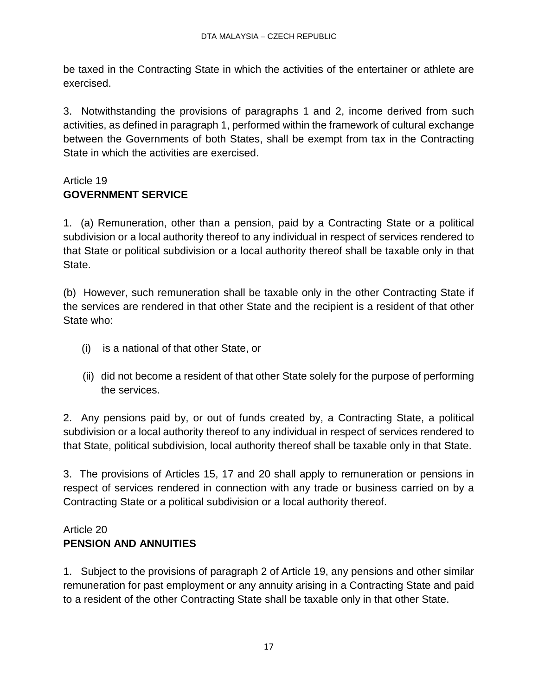be taxed in the Contracting State in which the activities of the entertainer or athlete are exercised.

3. Notwithstanding the provisions of paragraphs 1 and 2, income derived from such activities, as defined in paragraph 1, performed within the framework of cultural exchange between the Governments of both States, shall be exempt from tax in the Contracting State in which the activities are exercised.

# Article 19 **GOVERNMENT SERVICE**

1. (a) Remuneration, other than a pension, paid by a Contracting State or a political subdivision or a local authority thereof to any individual in respect of services rendered to that State or political subdivision or a local authority thereof shall be taxable only in that State.

(b) However, such remuneration shall be taxable only in the other Contracting State if the services are rendered in that other State and the recipient is a resident of that other State who:

- (i) is a national of that other State, or
- (ii) did not become a resident of that other State solely for the purpose of performing the services.

2. Any pensions paid by, or out of funds created by, a Contracting State, a political subdivision or a local authority thereof to any individual in respect of services rendered to that State, political subdivision, local authority thereof shall be taxable only in that State.

3. The provisions of Articles 15, 17 and 20 shall apply to remuneration or pensions in respect of services rendered in connection with any trade or business carried on by a Contracting State or a political subdivision or a local authority thereof.

# Article 20 **PENSION AND ANNUITIES**

1. Subject to the provisions of paragraph 2 of Article 19, any pensions and other similar remuneration for past employment or any annuity arising in a Contracting State and paid to a resident of the other Contracting State shall be taxable only in that other State.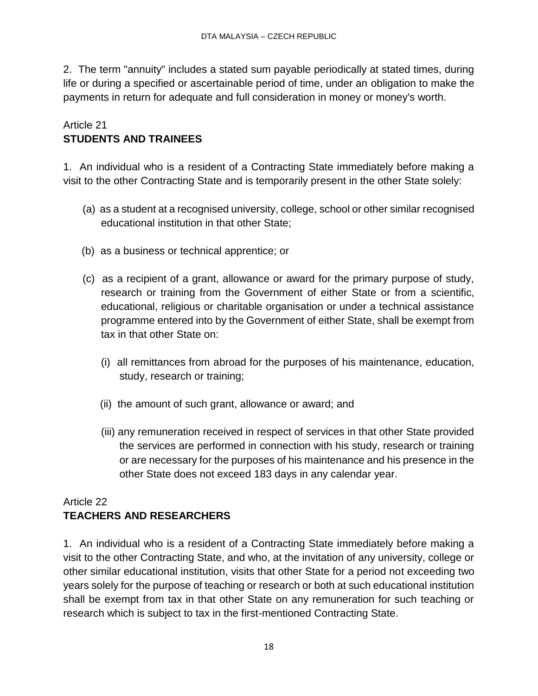2. The term "annuity" includes a stated sum payable periodically at stated times, during life or during a specified or ascertainable period of time, under an obligation to make the payments in return for adequate and full consideration in money or money's worth.

### Article 21 **STUDENTS AND TRAINEES**

1. An individual who is a resident of a Contracting State immediately before making a visit to the other Contracting State and is temporarily present in the other State solely:

- (a) as a student at a recognised university, college, school or other similar recognised educational institution in that other State;
- (b) as a business or technical apprentice; or
- (c) as a recipient of a grant, allowance or award for the primary purpose of study, research or training from the Government of either State or from a scientific, educational, religious or charitable organisation or under a technical assistance programme entered into by the Government of either State, shall be exempt from tax in that other State on:
	- (i) all remittances from abroad for the purposes of his maintenance, education, study, research or training;
	- (ii) the amount of such grant, allowance or award; and
	- (iii) any remuneration received in respect of services in that other State provided the services are performed in connection with his study, research or training or are necessary for the purposes of his maintenance and his presence in the other State does not exceed 183 days in any calendar year.

# Article 22 **TEACHERS AND RESEARCHERS**

1. An individual who is a resident of a Contracting State immediately before making a visit to the other Contracting State, and who, at the invitation of any university, college or other similar educational institution, visits that other State for a period not exceeding two years solely for the purpose of teaching or research or both at such educational institution shall be exempt from tax in that other State on any remuneration for such teaching or research which is subject to tax in the first-mentioned Contracting State.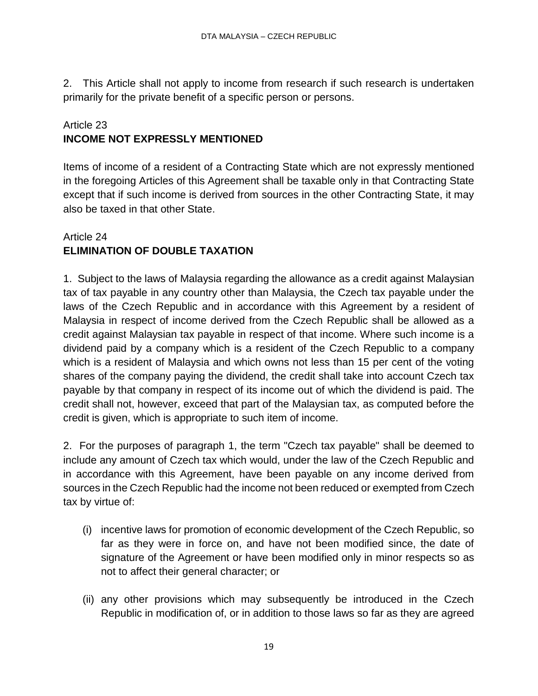2. This Article shall not apply to income from research if such research is undertaken primarily for the private benefit of a specific person or persons.

# Article 23 **INCOME NOT EXPRESSLY MENTIONED**

Items of income of a resident of a Contracting State which are not expressly mentioned in the foregoing Articles of this Agreement shall be taxable only in that Contracting State except that if such income is derived from sources in the other Contracting State, it may also be taxed in that other State.

# Article 24 **ELIMINATION OF DOUBLE TAXATION**

1. Subject to the laws of Malaysia regarding the allowance as a credit against Malaysian tax of tax payable in any country other than Malaysia, the Czech tax payable under the laws of the Czech Republic and in accordance with this Agreement by a resident of Malaysia in respect of income derived from the Czech Republic shall be allowed as a credit against Malaysian tax payable in respect of that income. Where such income is a dividend paid by a company which is a resident of the Czech Republic to a company which is a resident of Malaysia and which owns not less than 15 per cent of the voting shares of the company paying the dividend, the credit shall take into account Czech tax payable by that company in respect of its income out of which the dividend is paid. The credit shall not, however, exceed that part of the Malaysian tax, as computed before the credit is given, which is appropriate to such item of income.

2. For the purposes of paragraph 1, the term "Czech tax payable" shall be deemed to include any amount of Czech tax which would, under the law of the Czech Republic and in accordance with this Agreement, have been payable on any income derived from sources in the Czech Republic had the income not been reduced or exempted from Czech tax by virtue of:

- (i) incentive laws for promotion of economic development of the Czech Republic, so far as they were in force on, and have not been modified since, the date of signature of the Agreement or have been modified only in minor respects so as not to affect their general character; or
- (ii) any other provisions which may subsequently be introduced in the Czech Republic in modification of, or in addition to those laws so far as they are agreed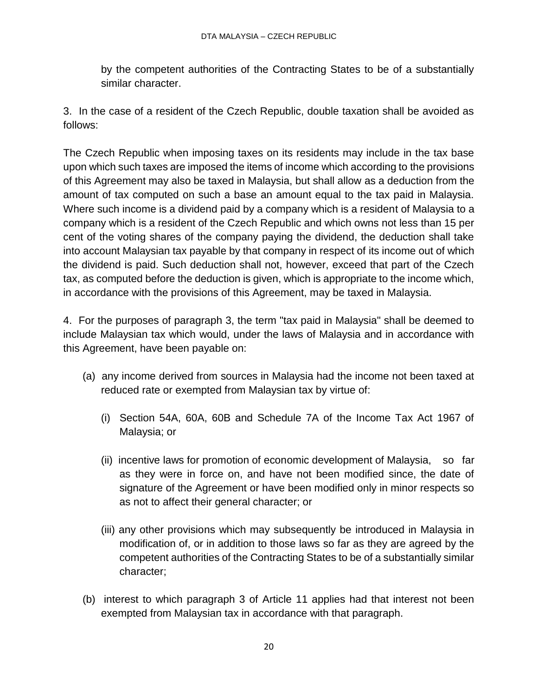by the competent authorities of the Contracting States to be of a substantially similar character.

3. In the case of a resident of the Czech Republic, double taxation shall be avoided as follows:

The Czech Republic when imposing taxes on its residents may include in the tax base upon which such taxes are imposed the items of income which according to the provisions of this Agreement may also be taxed in Malaysia, but shall allow as a deduction from the amount of tax computed on such a base an amount equal to the tax paid in Malaysia. Where such income is a dividend paid by a company which is a resident of Malaysia to a company which is a resident of the Czech Republic and which owns not less than 15 per cent of the voting shares of the company paying the dividend, the deduction shall take into account Malaysian tax payable by that company in respect of its income out of which the dividend is paid. Such deduction shall not, however, exceed that part of the Czech tax, as computed before the deduction is given, which is appropriate to the income which, in accordance with the provisions of this Agreement, may be taxed in Malaysia.

4. For the purposes of paragraph 3, the term "tax paid in Malaysia" shall be deemed to include Malaysian tax which would, under the laws of Malaysia and in accordance with this Agreement, have been payable on:

- (a) any income derived from sources in Malaysia had the income not been taxed at reduced rate or exempted from Malaysian tax by virtue of:
	- (i) Section 54A, 60A, 60B and Schedule 7A of the Income Tax Act 1967 of Malaysia; or
	- (ii) incentive laws for promotion of economic development of Malaysia, so far as they were in force on, and have not been modified since, the date of signature of the Agreement or have been modified only in minor respects so as not to affect their general character; or
	- (iii) any other provisions which may subsequently be introduced in Malaysia in modification of, or in addition to those laws so far as they are agreed by the competent authorities of the Contracting States to be of a substantially similar character;
- (b) interest to which paragraph 3 of Article 11 applies had that interest not been exempted from Malaysian tax in accordance with that paragraph.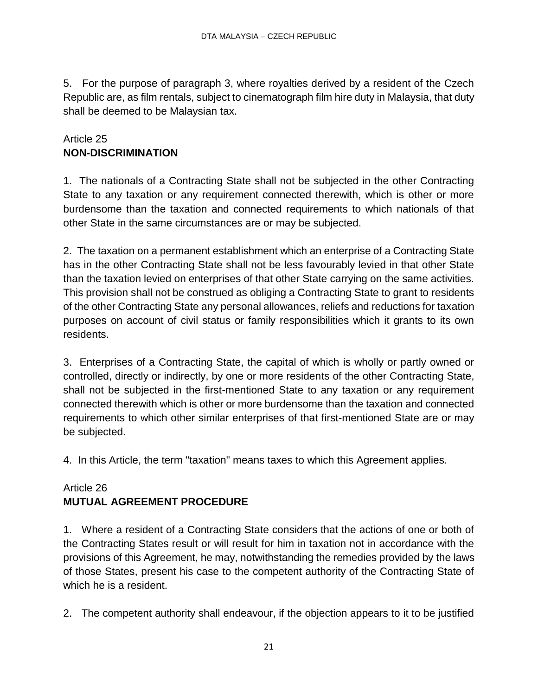5. For the purpose of paragraph 3, where royalties derived by a resident of the Czech Republic are, as film rentals, subject to cinematograph film hire duty in Malaysia, that duty shall be deemed to be Malaysian tax.

# Article 25 **NON-DISCRIMINATION**

1. The nationals of a Contracting State shall not be subjected in the other Contracting State to any taxation or any requirement connected therewith, which is other or more burdensome than the taxation and connected requirements to which nationals of that other State in the same circumstances are or may be subjected.

2. The taxation on a permanent establishment which an enterprise of a Contracting State has in the other Contracting State shall not be less favourably levied in that other State than the taxation levied on enterprises of that other State carrying on the same activities. This provision shall not be construed as obliging a Contracting State to grant to residents of the other Contracting State any personal allowances, reliefs and reductions for taxation purposes on account of civil status or family responsibilities which it grants to its own residents.

3. Enterprises of a Contracting State, the capital of which is wholly or partly owned or controlled, directly or indirectly, by one or more residents of the other Contracting State, shall not be subjected in the first-mentioned State to any taxation or any requirement connected therewith which is other or more burdensome than the taxation and connected requirements to which other similar enterprises of that first-mentioned State are or may be subjected.

4. In this Article, the term "taxation" means taxes to which this Agreement applies.

# Article 26 **MUTUAL AGREEMENT PROCEDURE**

1. Where a resident of a Contracting State considers that the actions of one or both of the Contracting States result or will result for him in taxation not in accordance with the provisions of this Agreement, he may, notwithstanding the remedies provided by the laws of those States, present his case to the competent authority of the Contracting State of which he is a resident.

2. The competent authority shall endeavour, if the objection appears to it to be justified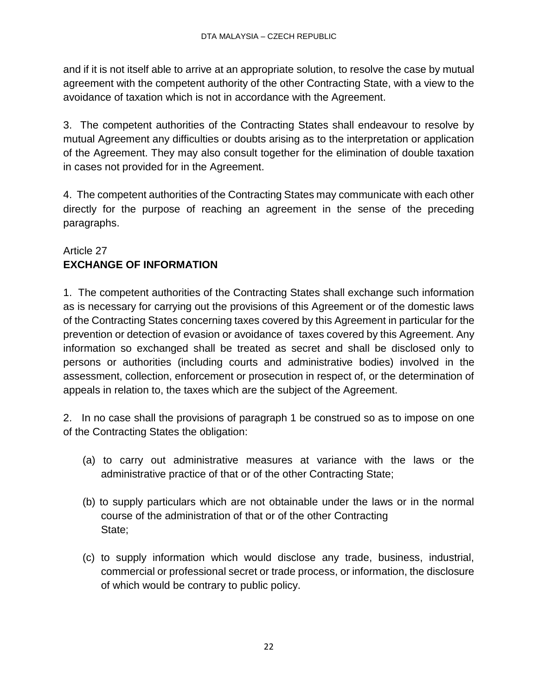and if it is not itself able to arrive at an appropriate solution, to resolve the case by mutual agreement with the competent authority of the other Contracting State, with a view to the avoidance of taxation which is not in accordance with the Agreement.

3. The competent authorities of the Contracting States shall endeavour to resolve by mutual Agreement any difficulties or doubts arising as to the interpretation or application of the Agreement. They may also consult together for the elimination of double taxation in cases not provided for in the Agreement.

4. The competent authorities of the Contracting States may communicate with each other directly for the purpose of reaching an agreement in the sense of the preceding paragraphs.

# Article 27 **EXCHANGE OF INFORMATION**

1. The competent authorities of the Contracting States shall exchange such information as is necessary for carrying out the provisions of this Agreement or of the domestic laws of the Contracting States concerning taxes covered by this Agreement in particular for the prevention or detection of evasion or avoidance of taxes covered by this Agreement. Any information so exchanged shall be treated as secret and shall be disclosed only to persons or authorities (including courts and administrative bodies) involved in the assessment, collection, enforcement or prosecution in respect of, or the determination of appeals in relation to, the taxes which are the subject of the Agreement.

2. In no case shall the provisions of paragraph 1 be construed so as to impose on one of the Contracting States the obligation:

- (a) to carry out administrative measures at variance with the laws or the administrative practice of that or of the other Contracting State;
- (b) to supply particulars which are not obtainable under the laws or in the normal course of the administration of that or of the other Contracting State;
- (c) to supply information which would disclose any trade, business, industrial, commercial or professional secret or trade process, or information, the disclosure of which would be contrary to public policy.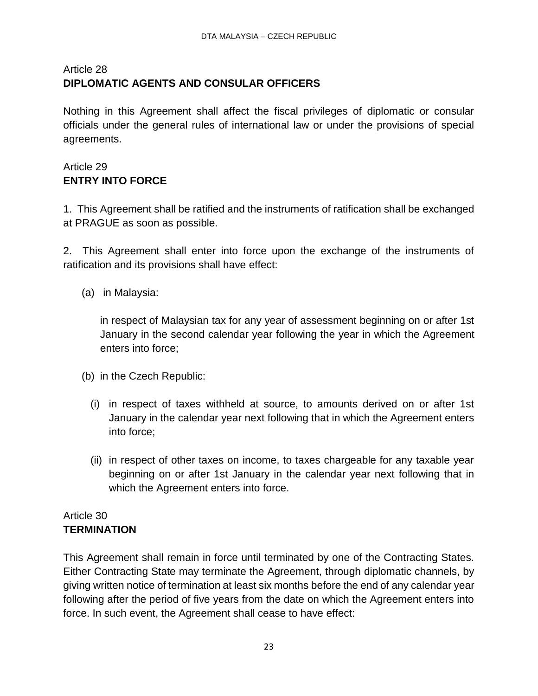# Article 28 **DIPLOMATIC AGENTS AND CONSULAR OFFICERS**

Nothing in this Agreement shall affect the fiscal privileges of diplomatic or consular officials under the general rules of international law or under the provisions of special agreements.

# Article 29 **ENTRY INTO FORCE**

1. This Agreement shall be ratified and the instruments of ratification shall be exchanged at PRAGUE as soon as possible.

2. This Agreement shall enter into force upon the exchange of the instruments of ratification and its provisions shall have effect:

(a) in Malaysia:

in respect of Malaysian tax for any year of assessment beginning on or after 1st January in the second calendar year following the year in which the Agreement enters into force;

- (b) in the Czech Republic:
	- (i) in respect of taxes withheld at source, to amounts derived on or after 1st January in the calendar year next following that in which the Agreement enters into force;
	- (ii) in respect of other taxes on income, to taxes chargeable for any taxable year beginning on or after 1st January in the calendar year next following that in which the Agreement enters into force.

### Article 30 **TERMINATION**

This Agreement shall remain in force until terminated by one of the Contracting States. Either Contracting State may terminate the Agreement, through diplomatic channels, by giving written notice of termination at least six months before the end of any calendar year following after the period of five years from the date on which the Agreement enters into force. In such event, the Agreement shall cease to have effect: